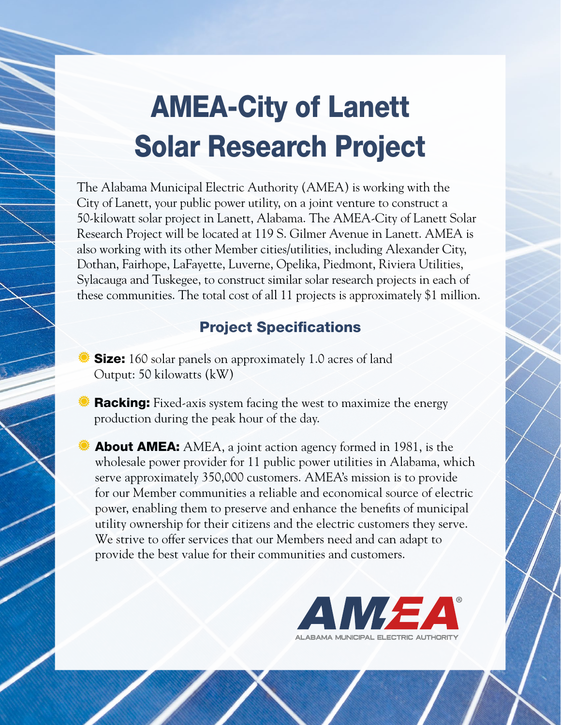# AMEA-City of Lanett Solar Research Project

The Alabama Municipal Electric Authority (AMEA) is working with the City of Lanett, your public power utility, on a joint venture to construct a 50-kilowatt solar project in Lanett, Alabama. The AMEA-City of Lanett Solar Research Project will be located at 119 S. Gilmer Avenue in Lanett. AMEA is also working with its other Member cities/utilities, including Alexander City, Dothan, Fairhope, LaFayette, Luverne, Opelika, Piedmont, Riviera Utilities, Sylacauga and Tuskegee, to construct similar solar research projects in each of these communities. The total cost of all 11 projects is approximately \$1 million.

### Project Specifications

- **Size:** 160 solar panels on approximately 1.0 acres of land Output: 50 kilowatts (kW)
- **Racking:** Fixed-axis system facing the west to maximize the energy production during the peak hour of the day.
- $\bullet$  About AMEA: AMEA, a joint action agency formed in 1981, is the wholesale power provider for 11 public power utilities in Alabama, which serve approximately 350,000 customers. AMEA's mission is to provide for our Member communities a reliable and economical source of electric power, enabling them to preserve and enhance the benefits of municipal utility ownership for their citizens and the electric customers they serve. We strive to offer services that our Members need and can adapt to provide the best value for their communities and customers.